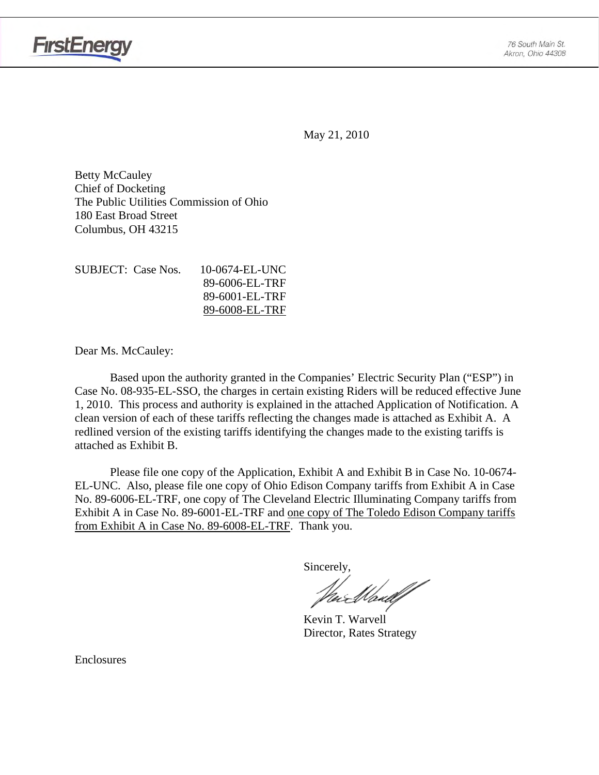



May 21, 2010

Betty McCauley Chief of Docketing The Public Utilities Commission of Ohio 180 East Broad Street Columbus, OH 43215

| SUBJECT: Case Nos. | 10-0674-EL-UNC |
|--------------------|----------------|
|                    | 89-6006-EL-TRF |
|                    | 89-6001-EL-TRF |
|                    | 89-6008-EL-TRF |

Dear Ms. McCauley:

Based upon the authority granted in the Companies' Electric Security Plan ("ESP") in Case No. 08-935-EL-SSO, the charges in certain existing Riders will be reduced effective June 1, 2010. This process and authority is explained in the attached Application of Notification. A clean version of each of these tariffs reflecting the changes made is attached as Exhibit A. A redlined version of the existing tariffs identifying the changes made to the existing tariffs is attached as Exhibit B.

Please file one copy of the Application, Exhibit A and Exhibit B in Case No. 10-0674- EL-UNC. Also, please file one copy of Ohio Edison Company tariffs from Exhibit A in Case No. 89-6006-EL-TRF, one copy of The Cleveland Electric Illuminating Company tariffs from Exhibit A in Case No. 89-6001-EL-TRF and one copy of The Toledo Edison Company tariffs from Exhibit A in Case No. 89-6008-EL-TRF. Thank you.

Sincerely,

 Kevin T. Warvell Director, Rates Strategy

Enclosures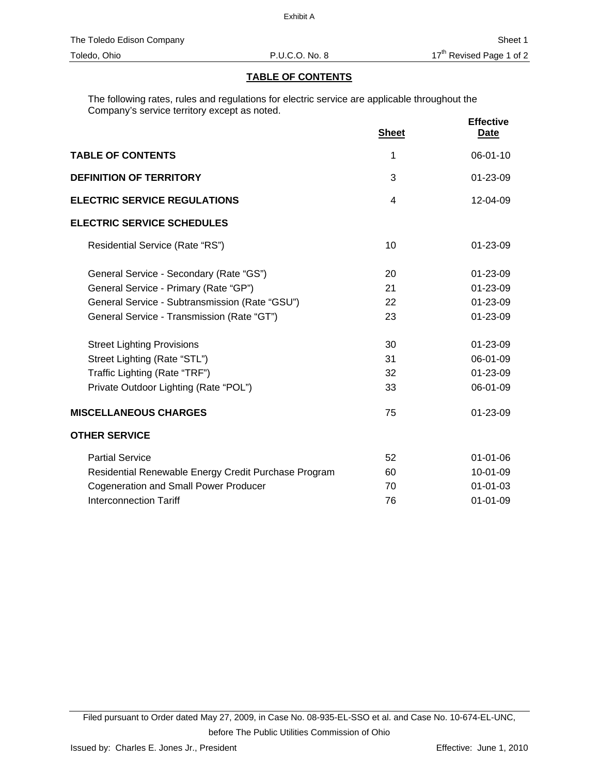## **TABLE OF CONTENTS**

The following rates, rules and regulations for electric service are applicable throughout the Company's service territory except as noted.

|                                                      | <b>Sheet</b>   | <b>Effective</b><br><b>Date</b> |
|------------------------------------------------------|----------------|---------------------------------|
| <b>TABLE OF CONTENTS</b>                             | 1              | 06-01-10                        |
| <b>DEFINITION OF TERRITORY</b>                       | 3              | $01 - 23 - 09$                  |
| <b>ELECTRIC SERVICE REGULATIONS</b>                  | $\overline{4}$ | 12-04-09                        |
| <b>ELECTRIC SERVICE SCHEDULES</b>                    |                |                                 |
| Residential Service (Rate "RS")                      | 10             | 01-23-09                        |
| General Service - Secondary (Rate "GS")              | 20             | 01-23-09                        |
| General Service - Primary (Rate "GP")                | 21             | 01-23-09                        |
| General Service - Subtransmission (Rate "GSU")       | 22             | 01-23-09                        |
| General Service - Transmission (Rate "GT")           | 23             | 01-23-09                        |
| <b>Street Lighting Provisions</b>                    | 30             | $01 - 23 - 09$                  |
| Street Lighting (Rate "STL")                         | 31             | 06-01-09                        |
| Traffic Lighting (Rate "TRF")                        | 32             | 01-23-09                        |
| Private Outdoor Lighting (Rate "POL")                | 33             | 06-01-09                        |
| <b>MISCELLANEOUS CHARGES</b>                         | 75             | $01 - 23 - 09$                  |
| <b>OTHER SERVICE</b>                                 |                |                                 |
| <b>Partial Service</b>                               | 52             | $01 - 01 - 06$                  |
| Residential Renewable Energy Credit Purchase Program | 60             | 10-01-09                        |
| <b>Cogeneration and Small Power Producer</b>         | 70             | $01 - 01 - 03$                  |
| <b>Interconnection Tariff</b>                        | 76             | $01 - 01 - 09$                  |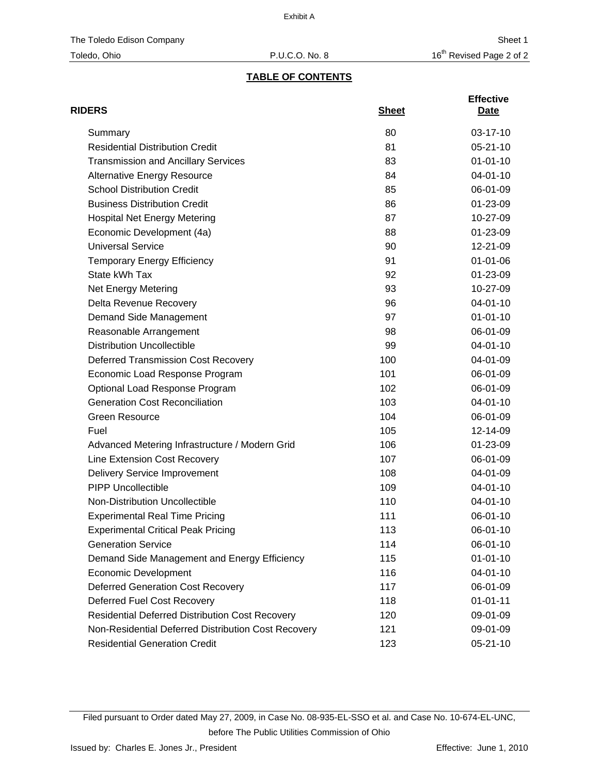# **TABLE OF CONTENTS**

| <b>RIDERS</b>                                          | <b>Sheet</b> | <b>Effective</b><br>Date |
|--------------------------------------------------------|--------------|--------------------------|
| Summary                                                | 80           | $03-17-10$               |
| <b>Residential Distribution Credit</b>                 | 81           | $05 - 21 - 10$           |
| <b>Transmission and Ancillary Services</b>             | 83           | $01 - 01 - 10$           |
| <b>Alternative Energy Resource</b>                     | 84           | $04 - 01 - 10$           |
| <b>School Distribution Credit</b>                      | 85           | 06-01-09                 |
| <b>Business Distribution Credit</b>                    | 86           | 01-23-09                 |
| <b>Hospital Net Energy Metering</b>                    | 87           | 10-27-09                 |
| Economic Development (4a)                              | 88           | 01-23-09                 |
| <b>Universal Service</b>                               | 90           | 12-21-09                 |
| <b>Temporary Energy Efficiency</b>                     | 91           | $01 - 01 - 06$           |
| State kWh Tax                                          | 92           | 01-23-09                 |
| Net Energy Metering                                    | 93           | 10-27-09                 |
| Delta Revenue Recovery                                 | 96           | 04-01-10                 |
| Demand Side Management                                 | 97           | $01 - 01 - 10$           |
| Reasonable Arrangement                                 | 98           | 06-01-09                 |
| <b>Distribution Uncollectible</b>                      | 99           | 04-01-10                 |
| <b>Deferred Transmission Cost Recovery</b>             | 100          | 04-01-09                 |
| Economic Load Response Program                         | 101          | 06-01-09                 |
| Optional Load Response Program                         | 102          | 06-01-09                 |
| <b>Generation Cost Reconciliation</b>                  | 103          | $04 - 01 - 10$           |
| <b>Green Resource</b>                                  | 104          | 06-01-09                 |
| Fuel                                                   | 105          | 12-14-09                 |
| Advanced Metering Infrastructure / Modern Grid         | 106          | 01-23-09                 |
| Line Extension Cost Recovery                           | 107          | 06-01-09                 |
| <b>Delivery Service Improvement</b>                    | 108          | 04-01-09                 |
| <b>PIPP Uncollectible</b>                              | 109          | $04 - 01 - 10$           |
| Non-Distribution Uncollectible                         | 110          | 04-01-10                 |
| <b>Experimental Real Time Pricing</b>                  | 111          | 06-01-10                 |
| <b>Experimental Critical Peak Pricing</b>              | 113          | 06-01-10                 |
| <b>Generation Service</b>                              | 114          | 06-01-10                 |
| Demand Side Management and Energy Efficiency           | 115          | $01 - 01 - 10$           |
| <b>Economic Development</b>                            | 116          | 04-01-10                 |
| <b>Deferred Generation Cost Recovery</b>               | 117          | 06-01-09                 |
| Deferred Fuel Cost Recovery                            | 118          | $01 - 01 - 11$           |
| <b>Residential Deferred Distribution Cost Recovery</b> | 120          | 09-01-09                 |
| Non-Residential Deferred Distribution Cost Recovery    | 121          | 09-01-09                 |
| <b>Residential Generation Credit</b>                   | 123          | 05-21-10                 |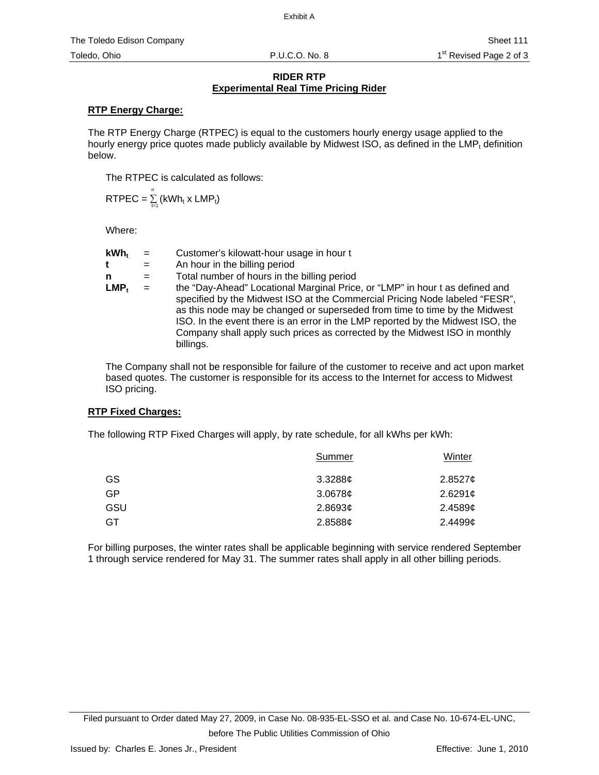## **RIDER RTP Experimental Real Time Pricing Rider**

# **RTP Energy Charge:**

The RTP Energy Charge (RTPEC) is equal to the customers hourly energy usage applied to the hourly energy price quotes made publicly available by Midwest ISO, as defined in the LMP $<sub>t</sub>$  definition</sub> below.

The RTPEC is calculated as follows:

 $\textsf{RTPEC} = \sum\limits_{t=1}^n \left( \textsf{kWh}_t \times \textsf{LMP}_t \right)$ 

Where:

| $kWh_t$ |     | Customer's kilowatt-hour usage in hour t                                                                                                                                                                                                                                                                                                                                                                                |
|---------|-----|-------------------------------------------------------------------------------------------------------------------------------------------------------------------------------------------------------------------------------------------------------------------------------------------------------------------------------------------------------------------------------------------------------------------------|
| t       | $=$ | An hour in the billing period                                                                                                                                                                                                                                                                                                                                                                                           |
| n       | $=$ | Total number of hours in the billing period                                                                                                                                                                                                                                                                                                                                                                             |
| LMP.    | $=$ | the "Day-Ahead" Locational Marginal Price, or "LMP" in hour t as defined and<br>specified by the Midwest ISO at the Commercial Pricing Node labeled "FESR",<br>as this node may be changed or superseded from time to time by the Midwest<br>ISO. In the event there is an error in the LMP reported by the Midwest ISO, the<br>Company shall apply such prices as corrected by the Midwest ISO in monthly<br>billings. |

The Company shall not be responsible for failure of the customer to receive and act upon market based quotes. The customer is responsible for its access to the Internet for access to Midwest ISO pricing.

# **RTP Fixed Charges:**

The following RTP Fixed Charges will apply, by rate schedule, for all kWhs per kWh:

|     | Summer     | Winter     |
|-----|------------|------------|
| GS  | $3.3288$ ¢ | 2.8527c    |
| GP  | 3.0678¢    | 2.6291¢    |
| GSU | 2.8693¢    | $2.4589$ ¢ |
| GT  | 2.8588¢    | 2.44996    |
|     |            |            |

For billing purposes, the winter rates shall be applicable beginning with service rendered September 1 through service rendered for May 31. The summer rates shall apply in all other billing periods.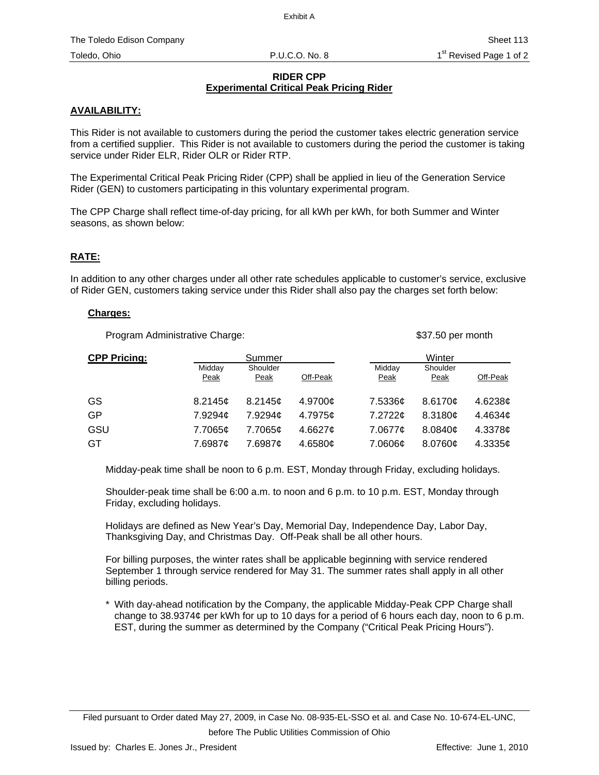# **RIDER CPP Experimental Critical Peak Pricing Rider**

# **AVAILABILITY:**

This Rider is not available to customers during the period the customer takes electric generation service from a certified supplier. This Rider is not available to customers during the period the customer is taking service under Rider ELR, Rider OLR or Rider RTP.

The Experimental Critical Peak Pricing Rider (CPP) shall be applied in lieu of the Generation Service Rider (GEN) to customers participating in this voluntary experimental program.

The CPP Charge shall reflect time-of-day pricing, for all kWh per kWh, for both Summer and Winter seasons, as shown below:

# **RATE:**

In addition to any other charges under all other rate schedules applicable to customer's service, exclusive of Rider GEN, customers taking service under this Rider shall also pay the charges set forth below:

#### **Charges:**

Program Administrative Charge:  $$37.50$  per month

| <b>CPP Pricing:</b> |                       | Summer           |          |                | Winter           |                       |
|---------------------|-----------------------|------------------|----------|----------------|------------------|-----------------------|
|                     | Midday<br><b>Peak</b> | Shoulder<br>Peak | Off-Peak | Midday<br>Peak | Shoulder<br>Peak | Off-Peak              |
| GS                  | 8.2145c               | 8.2145c          | 4.9700¢  | 7.5336¢        | 8.6170c          | 4.6238 $\mathfrak{c}$ |
| GP                  | 7.9294¢               | 7.9294¢          | 4.7975¢  | 7.2722c        | 8.3180c          | 4.4634c               |
| GSU                 | 7.7065¢               | 7.7065¢          | 4.6627c  | 7.0677¢        | 8.0840c          | 4.3378 $\phi$         |
| GT                  | 7.6987¢               | 7.6987¢          | 4.6580c  | 7.0606¢        | 8.0760¢          | 4.3335c               |

Midday-peak time shall be noon to 6 p.m. EST, Monday through Friday, excluding holidays.

Shoulder-peak time shall be 6:00 a.m. to noon and 6 p.m. to 10 p.m. EST, Monday through Friday, excluding holidays.

Holidays are defined as New Year's Day, Memorial Day, Independence Day, Labor Day, Thanksgiving Day, and Christmas Day. Off-Peak shall be all other hours.

For billing purposes, the winter rates shall be applicable beginning with service rendered September 1 through service rendered for May 31. The summer rates shall apply in all other billing periods.

\* With day-ahead notification by the Company, the applicable Midday-Peak CPP Charge shall change to 38.9374¢ per kWh for up to 10 days for a period of 6 hours each day, noon to 6 p.m. EST, during the summer as determined by the Company ("Critical Peak Pricing Hours").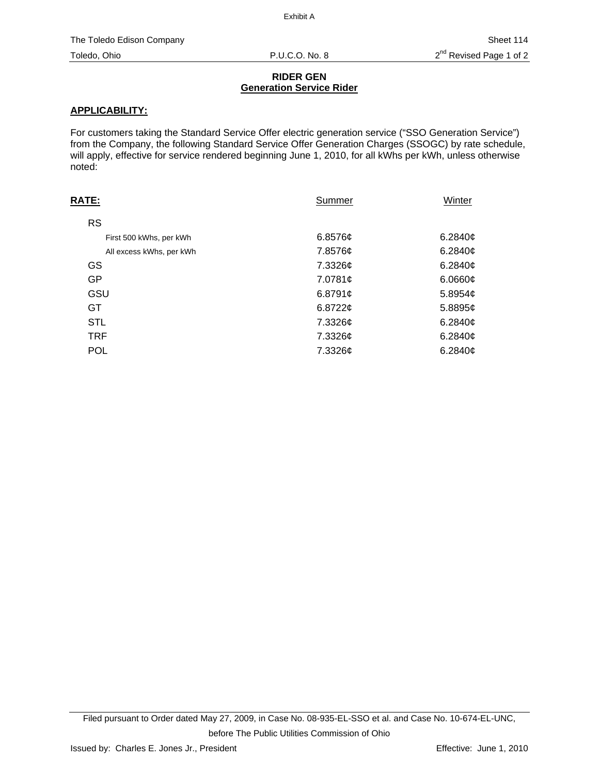## **RIDER GEN Generation Service Rider**

# **APPLICABILITY:**

For customers taking the Standard Service Offer electric generation service ("SSO Generation Service") from the Company, the following Standard Service Offer Generation Charges (SSOGC) by rate schedule, will apply, effective for service rendered beginning June 1, 2010, for all kWhs per kWh, unless otherwise noted:

| <u>RATE:</u>             | Summer              | <b>Winter</b>       |
|--------------------------|---------------------|---------------------|
| <b>RS</b>                |                     |                     |
| First 500 kWhs, per kWh  | 6.8576c             | 6.2840c             |
| All excess kWhs, per kWh | 7.8576¢             | 6.2840 $\sigma$     |
| GS                       | 7.3326¢             | 6.2840 $\phi$       |
| GP                       | 7.0781¢             | 6.0660¢             |
| GSU                      | 6.8791 <sub>¢</sub> | 5.8954 <sub>c</sub> |
| GT                       | 6.8722c             | $5.8895$ ¢          |
| <b>STL</b>               | 7.3326¢             | 6.2840 $\phi$       |
| <b>TRF</b>               | 7.3326¢             | 6.2840 $\sigma$     |
| <b>POL</b>               | 7.3326¢             | 6.2840c             |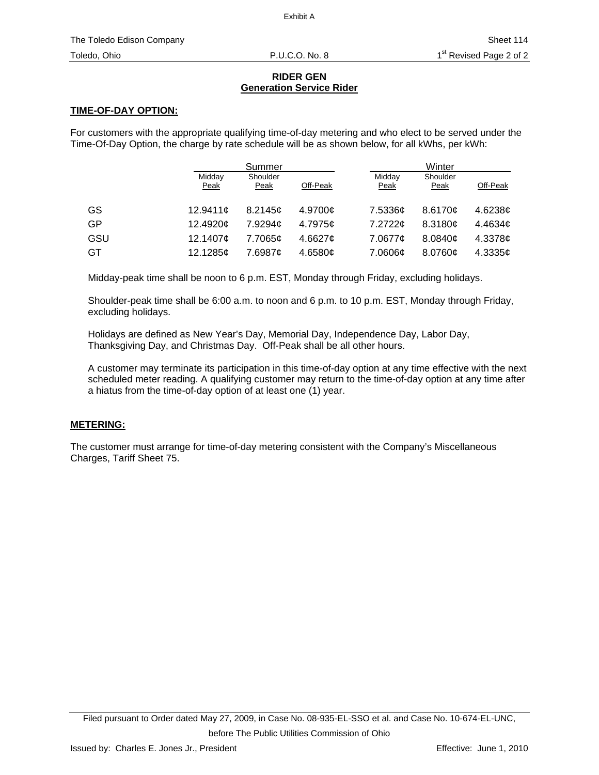## **RIDER GEN Generation Service Rider**

# **TIME-OF-DAY OPTION:**

For customers with the appropriate qualifying time-of-day metering and who elect to be served under the Time-Of-Day Option, the charge by rate schedule will be as shown below, for all kWhs, per kWh:

|     |                | Summer           |          |                | Winter           |                 |
|-----|----------------|------------------|----------|----------------|------------------|-----------------|
|     | Midday<br>Peak | Shoulder<br>Peak | Off-Peak | Midday<br>Peak | Shoulder<br>Peak | Off-Peak        |
| GS  | 12.9411c       | 8.2145c          | 4.9700¢  | 7.5336¢        | 8.6170c          | 4.6238c         |
| GP  | 12.4920¢       | 7.9294¢          | 4.7975¢  | 7.2722c        | 8.3180c          | 4.4634 $\sigma$ |
| GSU | 12.1407c       | 7.7065¢          | 4.6627c  | 7.0677¢        | 8.0840c          | 4.3378c         |
| GT  | 12.1285c       | 7.6987¢          | 4.6580c  | 7.0606¢        | 8.0760¢          | 4.3335¢         |

Midday-peak time shall be noon to 6 p.m. EST, Monday through Friday, excluding holidays.

Shoulder-peak time shall be 6:00 a.m. to noon and 6 p.m. to 10 p.m. EST, Monday through Friday, excluding holidays.

Holidays are defined as New Year's Day, Memorial Day, Independence Day, Labor Day, Thanksgiving Day, and Christmas Day. Off-Peak shall be all other hours.

A customer may terminate its participation in this time-of-day option at any time effective with the next scheduled meter reading. A qualifying customer may return to the time-of-day option at any time after a hiatus from the time-of-day option of at least one (1) year.

# **METERING:**

The customer must arrange for time-of-day metering consistent with the Company's Miscellaneous Charges, Tariff Sheet 75.